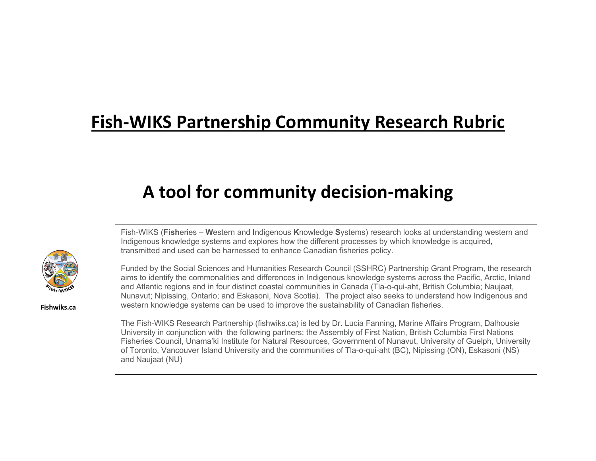## **Fish-WIKS Partnership Community Research Rubric**

# **A tool for community decision-making**

Fish-WIKS (**Fish**eries – **W**estern and **I**ndigenous **K**nowledge **S**ystems) research looks at understanding western and Indigenous knowledge systems and explores how the different processes by which knowledge is acquired, transmitted and used can be harnessed to enhance Canadian fisheries policy.



**Fishwiks.ca**

Funded by the Social Sciences and Humanities Research Council (SSHRC) Partnership Grant Program, the research aims to identify the commonalities and differences in Indigenous knowledge systems across the Pacific, Arctic, Inland and Atlantic regions and in four distinct coastal communities in Canada (Tla-o-qui-aht, British Columbia; Naujaat, Nunavut; Nipissing, Ontario; and Eskasoni, Nova Scotia). The project also seeks to understand how Indigenous and western knowledge systems can be used to improve the sustainability of Canadian fisheries.

The Fish-WIKS Research Partnership (fishwiks.ca) is led by Dr. Lucia Fanning, Marine Affairs Program, Dalhousie University in conjunction with the following partners: the Assembly of First Nation, British Columbia First Nations Fisheries Council, Unama'ki Institute for Natural Resources, Government of Nunavut, University of Guelph, University of Toronto, Vancouver Island University and the communities of Tla-o-qui-aht (BC), Nipissing (ON), Eskasoni (NS) and Naujaat (NU)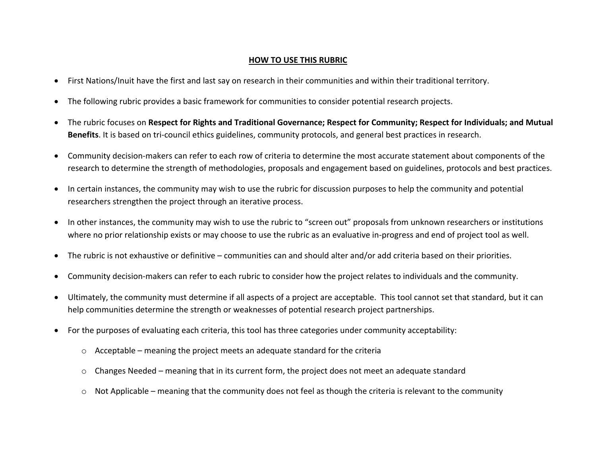#### **HOW TO USE THIS RUBRIC**

- First Nations/Inuit have the first and last say on research in their communities and within their traditional territory.
- The following rubric provides a basic framework for communities to consider potential research projects.
- The rubric focuses on **Respect for Rights and Traditional Governance; Respect for Community; Respect for Individuals; and Mutual Benefits**. It is based on tri-council ethics guidelines, community protocols, and general best practices in research.
- Community decision-makers can refer to each row of criteria to determine the most accurate statement about components of the research to determine the strength of methodologies, proposals and engagement based on guidelines, protocols and best practices.
- In certain instances, the community may wish to use the rubric for discussion purposes to help the community and potential researchers strengthen the project through an iterative process.
- In other instances, the community may wish to use the rubric to "screen out" proposals from unknown researchers or institutions where no prior relationship exists or may choose to use the rubric as an evaluative in-progress and end of project tool as well.
- The rubric is not exhaustive or definitive communities can and should alter and/or add criteria based on their priorities.
- Community decision-makers can refer to each rubric to consider how the project relates to individuals and the community.
- Ultimately, the community must determine if all aspects of a project are acceptable. This tool cannot set that standard, but it can help communities determine the strength or weaknesses of potential research project partnerships.
- For the purposes of evaluating each criteria, this tool has three categories under community acceptability:
	- $\circ$  Acceptable meaning the project meets an adequate standard for the criteria
	- $\circ$  Changes Needed meaning that in its current form, the project does not meet an adequate standard
	- $\circ$  Not Applicable meaning that the community does not feel as though the criteria is relevant to the community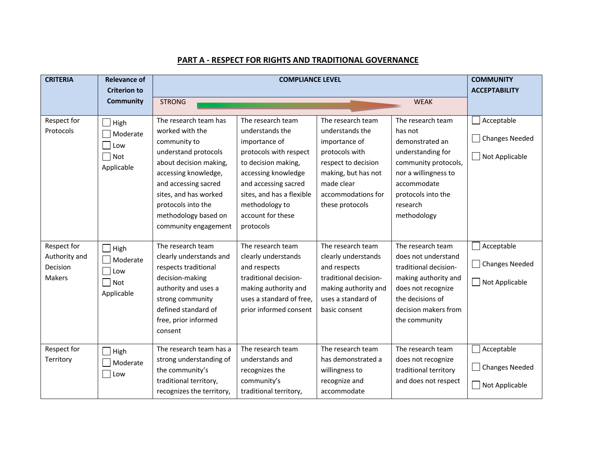#### **PART A - RESPECT FOR RIGHTS AND TRADITIONAL GOVERNANCE**

| <b>CRITERIA</b>                                    | <b>Relevance of</b>                                 |                                                                                                                                                                                                                                                           | <b>COMMUNITY</b>                                                                                                                                                                                                                       |                                                                                                                                                                              |                                                                                                                                                                                      |                                                         |
|----------------------------------------------------|-----------------------------------------------------|-----------------------------------------------------------------------------------------------------------------------------------------------------------------------------------------------------------------------------------------------------------|----------------------------------------------------------------------------------------------------------------------------------------------------------------------------------------------------------------------------------------|------------------------------------------------------------------------------------------------------------------------------------------------------------------------------|--------------------------------------------------------------------------------------------------------------------------------------------------------------------------------------|---------------------------------------------------------|
|                                                    | <b>Criterion to</b><br><b>Community</b>             | <b>STRONG</b>                                                                                                                                                                                                                                             |                                                                                                                                                                                                                                        |                                                                                                                                                                              | <b>WEAK</b>                                                                                                                                                                          | <b>ACCEPTABILITY</b>                                    |
| Respect for<br>Protocols                           | High<br>Moderate<br>Low<br>$\Box$ Not<br>Applicable | The research team has<br>worked with the<br>community to<br>understand protocols<br>about decision making,<br>accessing knowledge,<br>and accessing sacred<br>sites, and has worked<br>protocols into the<br>methodology based on<br>community engagement | The research team<br>understands the<br>importance of<br>protocols with respect<br>to decision making,<br>accessing knowledge<br>and accessing sacred<br>sites, and has a flexible<br>methodology to<br>account for these<br>protocols | The research team<br>understands the<br>importance of<br>protocols with<br>respect to decision<br>making, but has not<br>made clear<br>accommodations for<br>these protocols | The research team<br>has not<br>demonstrated an<br>understanding for<br>community protocols,<br>nor a willingness to<br>accommodate<br>protocols into the<br>research<br>methodology | Acceptable<br>□ Changes Needed<br>Not Applicable        |
| Respect for<br>Authority and<br>Decision<br>Makers | High<br>Moderate<br>Low<br>  Not<br>Applicable      | The research team<br>clearly understands and<br>respects traditional<br>decision-making<br>authority and uses a<br>strong community<br>defined standard of<br>free, prior informed<br>consent                                                             | The research team<br>clearly understands<br>and respects<br>traditional decision-<br>making authority and<br>uses a standard of free,<br>prior informed consent                                                                        | The research team<br>clearly understands<br>and respects<br>traditional decision-<br>making authority and<br>uses a standard of<br>basic consent                             | The research team<br>does not understand<br>traditional decision-<br>making authority and<br>does not recognize<br>the decisions of<br>decision makers from<br>the community         | Acceptable<br>Changes Needed<br>Not Applicable          |
| Respect for<br>Territory                           | $\exists$ High<br>Moderate<br>Low                   | The research team has a<br>strong understanding of<br>the community's<br>traditional territory,<br>recognizes the territory,                                                                                                                              | The research team<br>understands and<br>recognizes the<br>community's<br>traditional territory,                                                                                                                                        | The research team<br>has demonstrated a<br>willingness to<br>recognize and<br>accommodate                                                                                    | The research team<br>does not recognize<br>traditional territory<br>and does not respect                                                                                             | $\Box$ Acceptable<br>□ Changes Needed<br>Not Applicable |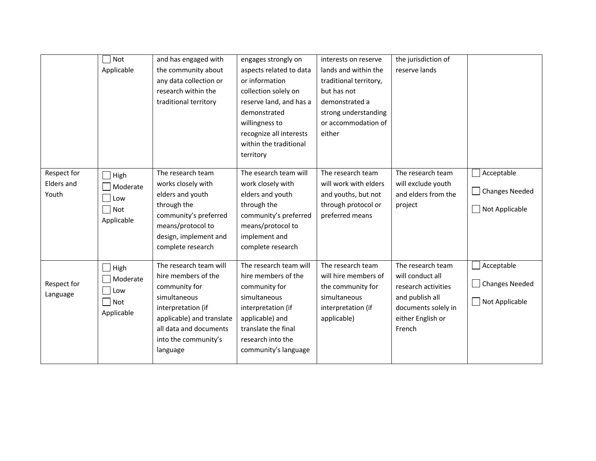|                                    | Not<br>Applicable                                                                   | and has engaged with<br>the community about<br>any data collection or<br>research within the<br>traditional territory                                                                           | engages strongly on<br>aspects related to data<br>or information<br>collection solely on<br>reserve land, and has a<br>demonstrated<br>willingness to<br>recognize all interests<br>within the traditional<br>territory | interests on reserve<br>lands and within the<br>traditional territory,<br>but has not<br>demonstrated a<br>strong understanding<br>or accommodation of<br>either | the jurisdiction of<br>reserve lands                                                                                                  |                                                |
|------------------------------------|-------------------------------------------------------------------------------------|-------------------------------------------------------------------------------------------------------------------------------------------------------------------------------------------------|-------------------------------------------------------------------------------------------------------------------------------------------------------------------------------------------------------------------------|------------------------------------------------------------------------------------------------------------------------------------------------------------------|---------------------------------------------------------------------------------------------------------------------------------------|------------------------------------------------|
| Respect for<br>Elders and<br>Youth | $\Box$ High<br>Moderate<br>$ $ Low<br>$\Box$ Not<br>Applicable                      | The research team<br>works closely with<br>elders and youth<br>through the<br>community's preferred<br>means/protocol to<br>design, implement and<br>complete research                          | The esearch team will<br>work closely with<br>elders and youth<br>through the<br>community's preferred<br>means/protocol to<br>implement and<br>complete research                                                       | The research team<br>will work with elders<br>and youths, but not<br>through protocol or<br>preferred means                                                      | The research team<br>will exclude youth<br>and elders from the<br>project                                                             | Acceptable<br>Changes Needed<br>Not Applicable |
| Respect for<br>Language            | $\Box$ High<br>Moderate<br>$\overline{\phantom{a}}$ Low<br>$\Box$ Not<br>Applicable | The research team will<br>hire members of the<br>community for<br>simultaneous<br>interpretation (if<br>applicable) and translate<br>all data and documents<br>into the community's<br>language | The research team will<br>hire members of the<br>community for<br>simultaneous<br>interpretation (if<br>applicable) and<br>translate the final<br>research into the<br>community's language                             | The research team<br>will hire members of<br>the community for<br>simultaneous<br>interpretation (if<br>applicable)                                              | The research team<br>will conduct all<br>research activities<br>and publish all<br>documents solely in<br>either English or<br>French | Acceptable<br>Changes Needed<br>Not Applicable |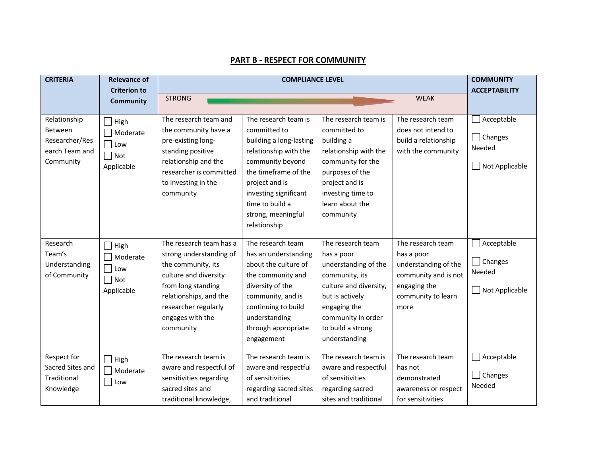#### **PART B - RESPECT FOR COMMUNITY**

| <b>CRITERIA</b>                                                          | <b>Relevance of</b>                                        |                                                                                                                                                                                                            | <b>COMMUNITY</b>                                                                                                                                                                                                                         |                                                                                                                                                                                                    |                                                                                                                               |                                                   |
|--------------------------------------------------------------------------|------------------------------------------------------------|------------------------------------------------------------------------------------------------------------------------------------------------------------------------------------------------------------|------------------------------------------------------------------------------------------------------------------------------------------------------------------------------------------------------------------------------------------|----------------------------------------------------------------------------------------------------------------------------------------------------------------------------------------------------|-------------------------------------------------------------------------------------------------------------------------------|---------------------------------------------------|
|                                                                          | <b>Criterion to</b><br><b>Community</b>                    | <b>STRONG</b>                                                                                                                                                                                              |                                                                                                                                                                                                                                          |                                                                                                                                                                                                    | <b>WEAK</b>                                                                                                                   | <b>ACCEPTABILITY</b>                              |
|                                                                          |                                                            |                                                                                                                                                                                                            |                                                                                                                                                                                                                                          |                                                                                                                                                                                                    |                                                                                                                               |                                                   |
| Relationship<br>Between<br>Researcher/Res<br>earch Team and<br>Community | $\Box$ High<br>Moderate<br>Low<br>$\Box$ Not<br>Applicable | The research team and<br>the community have a<br>pre-existing long-<br>standing positive<br>relationship and the<br>researcher is committed<br>to investing in the<br>community                            | The research team is<br>committed to<br>building a long-lasting<br>relationship with the<br>community beyond<br>the timeframe of the<br>project and is<br>investing significant<br>time to build a<br>strong, meaningful<br>relationship | The research team is<br>committed to<br>building a<br>relationship with the<br>community for the<br>purposes of the<br>project and is<br>investing time to<br>learn about the<br>community         | The research team<br>does not intend to<br>build a relationship<br>with the community                                         | Acceptable<br>Changes<br>Needed<br>Not Applicable |
| Research<br>Team's<br>Understanding<br>of Community                      | High<br>Moderate<br>Low<br>Not<br>Applicable               | The research team has a<br>strong understanding of<br>the community, its<br>culture and diversity<br>from long standing<br>relationships, and the<br>researcher regularly<br>engages with the<br>community | The research team<br>has an understanding<br>about the culture of<br>the community and<br>diversity of the<br>community, and is<br>continuing to build<br>understanding<br>through appropriate<br>engagement                             | The research team<br>has a poor<br>understanding of the<br>community, its<br>culture and diversity,<br>but is actively<br>engaging the<br>community in order<br>to build a strong<br>understanding | The research team<br>has a poor<br>understanding of the<br>community and is not<br>engaging the<br>community to learn<br>more | Acceptable<br>Changes<br>Needed<br>Not Applicable |
| Respect for<br>Sacred Sites and<br>Traditional<br>Knowledge              | $\Box$ High<br>Moderate<br>$\Box$ Low                      | The research team is<br>aware and respectful of<br>sensitivities regarding<br>sacred sites and<br>traditional knowledge,                                                                                   | The research team is<br>aware and respectful<br>of sensitivities<br>regarding sacred sites<br>and traditional                                                                                                                            | The research team is<br>aware and respectful<br>of sensitivities<br>regarding sacred<br>sites and traditional                                                                                      | The research team<br>has not<br>demonstrated<br>awareness or respect<br>for sensitivities                                     | Acceptable<br>Changes<br>Needed                   |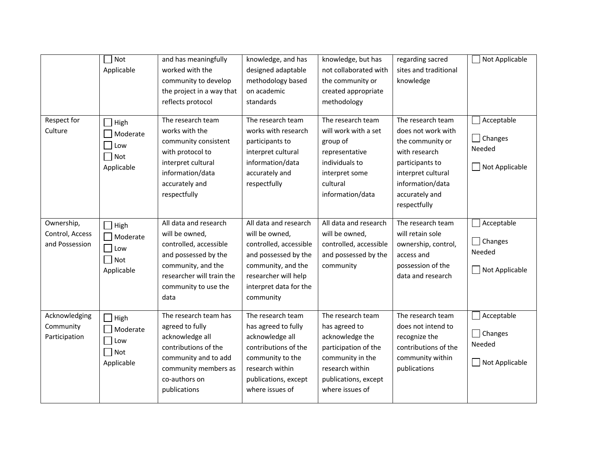|                                                 | Not<br>Applicable                                      | and has meaningfully<br>worked with the<br>community to develop<br>the project in a way that<br>reflects protocol                                                            | knowledge, and has<br>designed adaptable<br>methodology based<br>on academic<br>standards                                                                                      | knowledge, but has<br>not collaborated with<br>the community or<br>created appropriate<br>methodology                                                           | regarding sacred<br>sites and traditional<br>knowledge                                                                                                                      | Not Applicable                                                     |
|-------------------------------------------------|--------------------------------------------------------|------------------------------------------------------------------------------------------------------------------------------------------------------------------------------|--------------------------------------------------------------------------------------------------------------------------------------------------------------------------------|-----------------------------------------------------------------------------------------------------------------------------------------------------------------|-----------------------------------------------------------------------------------------------------------------------------------------------------------------------------|--------------------------------------------------------------------|
| Respect for<br>Culture                          | $\exists$ High<br>Moderate<br>Low<br>Not<br>Applicable | The research team<br>works with the<br>community consistent<br>with protocol to<br>interpret cultural<br>information/data<br>accurately and<br>respectfully                  | The research team<br>works with research<br>participants to<br>interpret cultural<br>information/data<br>accurately and<br>respectfully                                        | The research team<br>will work with a set<br>group of<br>representative<br>individuals to<br>interpret some<br>cultural<br>information/data                     | The research team<br>does not work with<br>the community or<br>with research<br>participants to<br>interpret cultural<br>information/data<br>accurately and<br>respectfully | Acceptable<br>$\mathsf{L}$<br>Changes<br>Needed<br>Not Applicable  |
| Ownership,<br>Control, Access<br>and Possession | High<br>Moderate<br>Low<br>$\exists$ Not<br>Applicable | All data and research<br>will be owned,<br>controlled, accessible<br>and possessed by the<br>community, and the<br>researcher will train the<br>community to use the<br>data | All data and research<br>will be owned,<br>controlled, accessible<br>and possessed by the<br>community, and the<br>researcher will help<br>interpret data for the<br>community | All data and research<br>will be owned,<br>controlled, accessible<br>and possessed by the<br>community                                                          | The research team<br>will retain sole<br>ownership, control,<br>access and<br>possession of the<br>data and research                                                        | Acceptable<br>$\Box$<br>Changes<br>Needed<br>Not Applicable        |
| Acknowledging<br>Community<br>Participation     | High<br>Moderate<br>Low<br>$\Box$ Not<br>Applicable    | The research team has<br>agreed to fully<br>acknowledge all<br>contributions of the<br>community and to add<br>community members as<br>co-authors on<br>publications         | The research team<br>has agreed to fully<br>acknowledge all<br>contributions of the<br>community to the<br>research within<br>publications, except<br>where issues of          | The research team<br>has agreed to<br>acknowledge the<br>participation of the<br>community in the<br>research within<br>publications, except<br>where issues of | The research team<br>does not intend to<br>recognize the<br>contributions of the<br>community within<br>publications                                                        | Acceptable<br>$\mathcal{L}$<br>Changes<br>Needed<br>Not Applicable |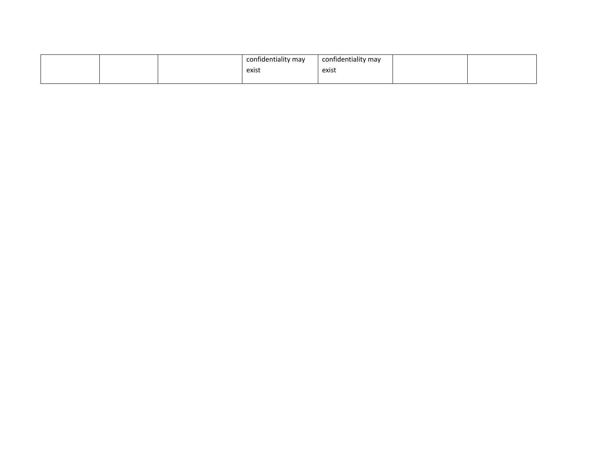|  | confidentiality may | confidentiality may |  |
|--|---------------------|---------------------|--|
|  | exist               | exist               |  |
|  |                     |                     |  |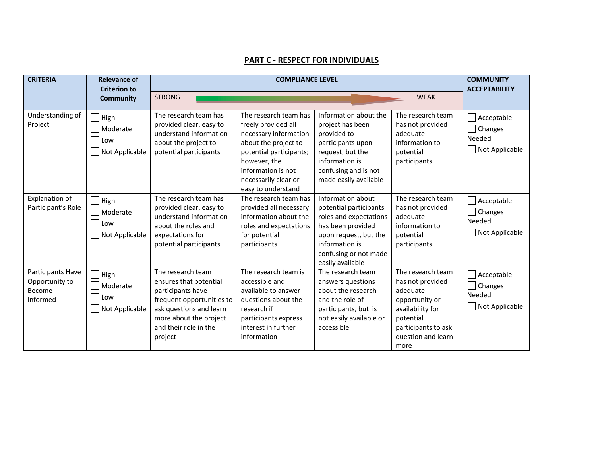### **PART C - RESPECT FOR INDIVIDUALS**

| <b>CRITERIA</b>                                           | <b>Relevance of</b><br><b>Criterion to</b>                |                                                                                                                                                                                        | <b>COMMUNITY</b><br><b>ACCEPTABILITY</b>                                                                                                                                                                     |                                                                                                                                                                                    |                                                                                                                                                           |                                                                 |
|-----------------------------------------------------------|-----------------------------------------------------------|----------------------------------------------------------------------------------------------------------------------------------------------------------------------------------------|--------------------------------------------------------------------------------------------------------------------------------------------------------------------------------------------------------------|------------------------------------------------------------------------------------------------------------------------------------------------------------------------------------|-----------------------------------------------------------------------------------------------------------------------------------------------------------|-----------------------------------------------------------------|
|                                                           | <b>Community</b>                                          | <b>STRONG</b>                                                                                                                                                                          |                                                                                                                                                                                                              |                                                                                                                                                                                    | <b>WEAK</b>                                                                                                                                               |                                                                 |
| Understanding of<br>Project                               | $\Box$ High<br>Moderate<br>  Low<br>$\Box$ Not Applicable | The research team has<br>provided clear, easy to<br>understand information<br>about the project to<br>potential participants                                                           | The research team has<br>freely provided all<br>necessary information<br>about the project to<br>potential participants;<br>however, the<br>information is not<br>necessarily clear or<br>easy to understand | Information about the<br>project has been<br>provided to<br>participants upon<br>request, but the<br>information is<br>confusing and is not<br>made easily available               | The research team<br>has not provided<br>adequate<br>information to<br>potential<br>participants                                                          | Acceptable<br>$\Box$ Changes<br>Needed<br>$\Box$ Not Applicable |
| Explanation of<br>Participant's Role                      | $\Box$ High<br>Moderate<br>Low<br>Not Applicable          | The research team has<br>provided clear, easy to<br>understand information<br>about the roles and<br>expectations for<br>potential participants                                        | The research team has<br>provided all necessary<br>information about the<br>roles and expectations<br>for potential<br>participants                                                                          | Information about<br>potential participants<br>roles and expectations<br>has been provided<br>upon request, but the<br>information is<br>confusing or not made<br>easily available | The research team<br>has not provided<br>adequate<br>information to<br>potential<br>participants                                                          | Acceptable<br>$\Box$ Changes<br>Needed<br>$\Box$ Not Applicable |
| Participants Have<br>Opportunity to<br>Become<br>Informed | $\Box$ High<br>Moderate<br>  Low<br>$\Box$ Not Applicable | The research team<br>ensures that potential<br>participants have<br>frequent opportunities to<br>ask questions and learn<br>more about the project<br>and their role in the<br>project | The research team is<br>accessible and<br>available to answer<br>questions about the<br>research if<br>participants express<br>interest in further<br>information                                            | The research team<br>answers questions<br>about the research<br>and the role of<br>participants, but is<br>not easily available or<br>accessible                                   | The research team<br>has not provided<br>adequate<br>opportunity or<br>availability for<br>potential<br>participants to ask<br>question and learn<br>more | Acceptable<br>$\Box$ Changes<br>Needed<br>Not Applicable        |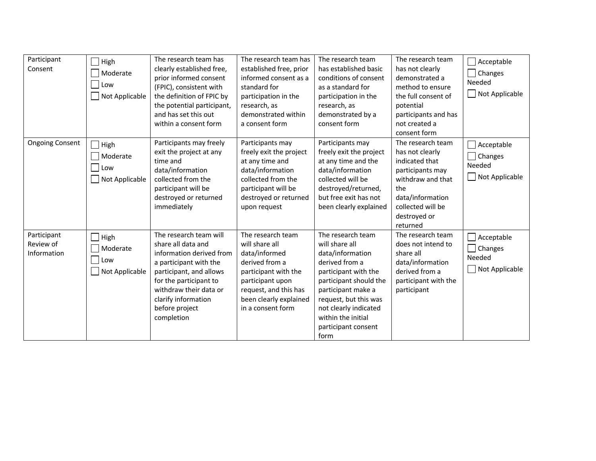| Participant<br>Consent                  | High<br>Moderate<br>Low<br>Not Applicable           | The research team has<br>clearly established free,<br>prior informed consent<br>(FPIC), consistent with<br>the definition of FPIC by<br>the potential participant,<br>and has set this out<br>within a consent form                      | The research team has<br>established free, prior<br>informed consent as a<br>standard for<br>participation in the<br>research, as<br>demonstrated within<br>a consent form                 | The research team<br>has established basic<br>conditions of consent<br>as a standard for<br>participation in the<br>research, as<br>demonstrated by a<br>consent form                                                                                    | The research team<br>has not clearly<br>demonstrated a<br>method to ensure<br>the full consent of<br>potential<br>participants and has<br>not created a<br>consent form     | Acceptable<br>Changes<br>Needed<br>Not Applicable |
|-----------------------------------------|-----------------------------------------------------|------------------------------------------------------------------------------------------------------------------------------------------------------------------------------------------------------------------------------------------|--------------------------------------------------------------------------------------------------------------------------------------------------------------------------------------------|----------------------------------------------------------------------------------------------------------------------------------------------------------------------------------------------------------------------------------------------------------|-----------------------------------------------------------------------------------------------------------------------------------------------------------------------------|---------------------------------------------------|
| <b>Ongoing Consent</b>                  | $\exists$ High<br>Moderate<br>Low<br>Not Applicable | Participants may freely<br>exit the project at any<br>time and<br>data/information<br>collected from the<br>participant will be<br>destroyed or returned<br>immediately                                                                  | Participants may<br>freely exit the project<br>at any time and<br>data/information<br>collected from the<br>participant will be<br>destroyed or returned<br>upon request                   | Participants may<br>freely exit the project<br>at any time and the<br>data/information<br>collected will be<br>destroyed/returned,<br>but free exit has not<br>been clearly explained                                                                    | The research team<br>has not clearly<br>indicated that<br>participants may<br>withdraw and that<br>the<br>data/information<br>collected will be<br>destroyed or<br>returned | Acceptable<br>Changes<br>Needed<br>Not Applicable |
| Participant<br>Review of<br>Information | High<br>Moderate<br>Low<br>Not Applicable           | The research team will<br>share all data and<br>information derived from<br>a participant with the<br>participant, and allows<br>for the participant to<br>withdraw their data or<br>clarify information<br>before project<br>completion | The research team<br>will share all<br>data/informed<br>derived from a<br>participant with the<br>participant upon<br>request, and this has<br>been clearly explained<br>in a consent form | The research team<br>will share all<br>data/information<br>derived from a<br>participant with the<br>participant should the<br>participant make a<br>request, but this was<br>not clearly indicated<br>within the initial<br>participant consent<br>form | The research team<br>does not intend to<br>share all<br>data/information<br>derived from a<br>participant with the<br>participant                                           | Acceptable<br>Changes<br>Needed<br>Not Applicable |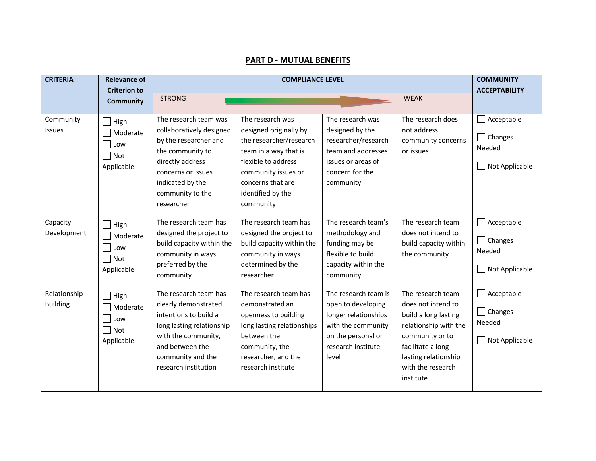#### **CRITERIA Relevance of Criterion to Community COMPLIANCE LEVEL COMMUNITY ACCEPTABILITY** STRONG WEAK Community Issues | High  $\Box$  Moderate  $\Box$  Low  $\Box$  Not Applicable The research team was collaboratively designed by the researcher and the community to directly address concerns or issues indicated by the community to the researcher The research was designed originally by the researcher/research team in a way that is flexible to address community issues or concerns that are identified by the community The research was designed by the researcher/research team and addresses issues or areas of concern for the community The research does not address community concerns or issues  $\Box$  Acceptable  $\Box$  Changes Needed Not Applicable Capacity Development  $\Box$  High Moderate Low Not Applicable The research team has designed the project to build capacity within the community in ways preferred by the community The research team has designed the project to build capacity within the community in ways determined by the researcher The research team's methodology and funding may be flexible to build capacity within the community The research team does not intend to build capacity within the community Acceptable  $\Box$  Changes Needed Not Applicable Relationship Building  $\Box$  High Moderate Low Not Applicable The research team has clearly demonstrated intentions to build a long lasting relationship with the community, and between the community and the research institution The research team has demonstrated an openness to building long lasting relationships between the community, the researcher, and the research institute The research team is open to developing longer relationships with the community on the personal or research institute level The research team does not intend to build a long lasting relationship with the community or to facilitate a long lasting relationship with the research institute  $\Box$  Acceptable □ Changes Needed Not Applicable

#### **PART D - MUTUAL BENEFITS**